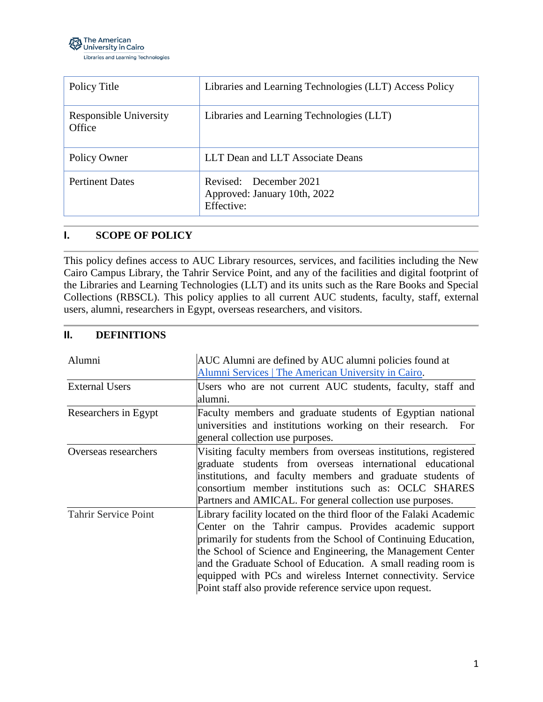

| Policy Title                     | Libraries and Learning Technologies (LLT) Access Policy              |
|----------------------------------|----------------------------------------------------------------------|
| Responsible University<br>Office | Libraries and Learning Technologies (LLT)                            |
| Policy Owner                     | LLT Dean and LLT Associate Deans                                     |
| <b>Pertinent Dates</b>           | Revised: December 2021<br>Approved: January 10th, 2022<br>Effective: |

## **I. SCOPE OF POLICY**

This policy defines access to AUC Library resources, services, and facilities including the New Cairo Campus Library, the Tahrir Service Point, and any of the facilities and digital footprint of the Libraries and Learning Technologies (LLT) and its units such as the Rare Books and Special Collections (RBSCL). This policy applies to all current AUC students, faculty, staff, external users, alumni, researchers in Egypt, overseas researchers, and visitors.

## **II. DEFINITIONS**

| Alumni                      | AUC Alumni are defined by AUC alumni policies found at<br>Alumni Services   The American University in Cairo.                                                                                                                                                                                                                                                                                                                                                 |
|-----------------------------|---------------------------------------------------------------------------------------------------------------------------------------------------------------------------------------------------------------------------------------------------------------------------------------------------------------------------------------------------------------------------------------------------------------------------------------------------------------|
| <b>External Users</b>       | Users who are not current AUC students, faculty, staff and<br>alumni.                                                                                                                                                                                                                                                                                                                                                                                         |
| Researchers in Egypt        | Faculty members and graduate students of Egyptian national<br>universities and institutions working on their research. For<br>general collection use purposes.                                                                                                                                                                                                                                                                                                |
| Overseas researchers        | Visiting faculty members from overseas institutions, registered<br>graduate students from overseas international educational<br>institutions, and faculty members and graduate students of<br>consortium member institutions such as: OCLC SHARES<br>Partners and AMICAL. For general collection use purposes.                                                                                                                                                |
| <b>Tahrir Service Point</b> | Library facility located on the third floor of the Falaki Academic<br>Center on the Tahrir campus. Provides academic support<br>primarily for students from the School of Continuing Education,<br>the School of Science and Engineering, the Management Center<br>and the Graduate School of Education. A small reading room is<br>equipped with PCs and wireless Internet connectivity. Service<br>Point staff also provide reference service upon request. |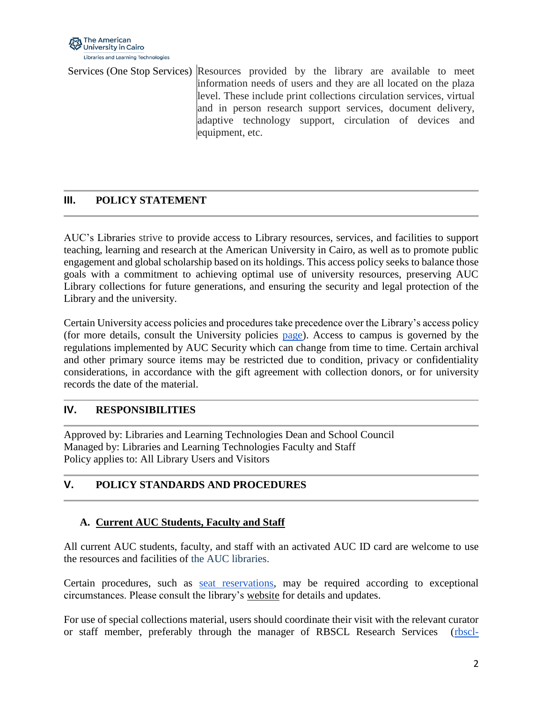

Services (One Stop Services) Resources provided by the library are available to meet information needs of users and they are all located on the plaza level. These include print collections circulation services, virtual and in person research support services, document delivery, adaptive technology support, circulation of devices and equipment, etc.

# **III. POLICY STATEMENT**

AUC's Libraries strive to provide access to Library resources, services, and facilities to support teaching, learning and research at the American University in Cairo, as well as to promote public engagement and global scholarship based on its holdings. This access policy seeks to balance those goals with a commitment to achieving optimal use of university resources, preserving AUC Library collections for future generations, and ensuring the security and legal protection of the Library and the university.

Certain University access policies and procedures take precedence over the Library's access policy (for more details, consult the University policies [page\)](https://www.aucegypt.edu/about/university-policies). Access to campus is governed by the regulations implemented by AUC Security which can change from time to time. Certain archival and other primary source items may be restricted due to condition, privacy or confidentiality considerations, in accordance with the gift agreement with collection donors, or for university records the date of the material.

## **IV. RESPONSIBILITIES**

Approved by: Libraries and Learning Technologies Dean and School Council Managed by: Libraries and Learning Technologies Faculty and Staff Policy applies to: All Library Users and Visitors

# **V. POLICY STANDARDS AND PROCEDURES**

## **A. Current AUC Students, Faculty and Staff**

All current AUC students, faculty, and staff with an activated AUC ID card are welcome to use the resources and facilities of the AUC libraries.

Certain procedures, such as [seat reservations,](https://librooms.aucegypt.edu/reserve/LCseating) may be required according to exceptional circumstances. Please consult the library's [website](https://library.aucegypt.edu/) for details and updates.

For use of special collections material, users should coordinate their visit with the relevant curator or staff member, preferably through the manager of RBSCL Research Services [\(rbscl-](mailto:rbscl-ref@aucegypt.edu)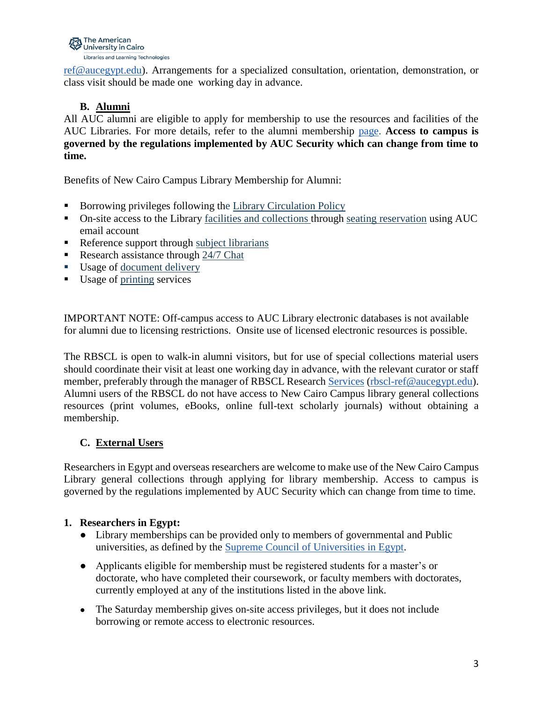

[ref@aucegypt.edu\)](mailto:rbscl-ref@aucegypt.edu). Arrangements for a specialized consultation, orientation, demonstration, or class visit should be made one working day in advance.

## **B. Alumni**

All AUC alumni are eligible to apply for membership to use the resources and facilities of the AUC Libraries. For more details, refer to the alumni membership [page.](https://library.aucegypt.edu/access-and-membership/alumni) **Access to campus is governed by the regulations implemented by AUC Security which can change from time to time.** 

Benefits of New Cairo Campus Library Membership for Alumni:

- Borrowing privileges following the [Library Circulation Policy](https://www.aucegypt.edu/about/university-policies#libraryreservespolicy)
- On-site access to the Library [facilities and collections](https://library.aucegypt.edu/home) through [seating reservation](https://librooms.aucegypt.edu/reserve/LCseating) using AUC email account
- Reference support through [subject librarians](https://library.aucegypt.edu/research/contact-subject-librarians)
- Research assistance through [24/7 Chat](https://auclibrary.libanswers.com/widget_chat.php?hash=f427d9089afc08f63dc4e68f69353761)
- Usage of [document delivery](https://library.aucegypt.edu/services/article-chapter-delivery)
- Usage of [printing](https://auclibrary.libanswers.com/covid19/faq/324542) services

IMPORTANT NOTE: Off-campus access to AUC Library electronic databases is not available for alumni due to licensing restrictions. Onsite use of licensed electronic resources is possible.

The RBSCL is open to walk-in alumni visitors, but for use of special collections material users should coordinate their visit at least one working day in advance, with the relevant curator or staff member, preferably through the manager of RBSCL Research [Services](mailto:rbscl-ref@aucegypt.edu) [\(rbscl-ref@aucegypt.edu\)](mailto:rbscl-ref@aucegypt.edu). Alumni users of the RBSCL do not have access to New Cairo Campus library general collections resources (print volumes, eBooks, online full-text scholarly journals) without obtaining a membership.

## **C. External Users**

Researchers in Egypt and overseas researchers are welcome to make use of the New Cairo Campus Library general collections through applying for library membership. Access to campus is governed by the regulations implemented by AUC Security which can change from time to time.

## **1. Researchers in Egypt:**

- Library memberships can be provided only to members of governmental and Public universities, as defined by the [Supreme Council of Universities in Egypt.](https://scu.eg/pages/public_universities)
- Applicants eligible for membership must be registered students for a master's or doctorate, who have completed their coursework, or faculty members with doctorates, currently employed at any of the institutions listed in the above link.
- The Saturday membership gives on-site access privileges, but it does not include borrowing or remote access to electronic resources.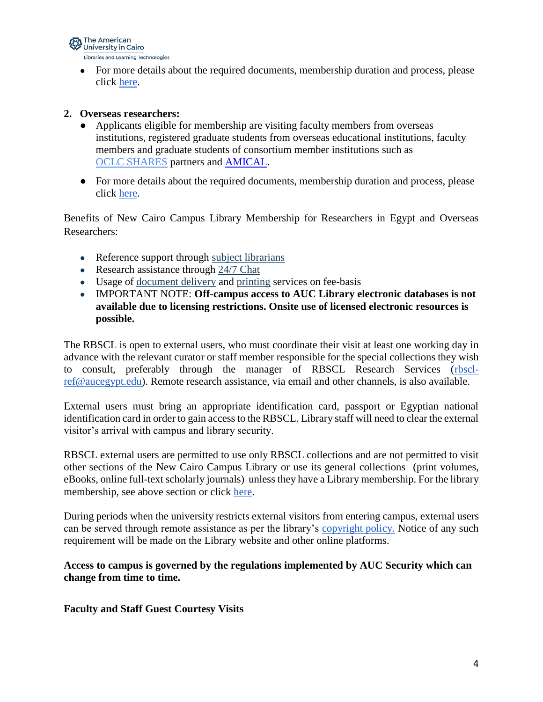

• For more details about the required documents, membership duration and process, please click [here.](https://library.aucegypt.edu/access-and-membership/researchers-in-egypt)

#### **2. Overseas researchers:**

- Applicants eligible for membership are visiting faculty members from overseas institutions, registered graduate students from overseas educational institutions, faculty members and graduate students of consortium member institutions such as [OCLC](http://www.oclc.org/content/dam/research/activities/shares/partners/symbols.pdf) SHARES partners and [AMICAL.](http://www.amicalnet.org/about/members)
- For more details about the required documents, membership duration and process, please click [here.](https://library.aucegypt.edu/access-and-membership/overseas-researchers)

Benefits of New Cairo Campus Library Membership for Researchers in Egypt and Overseas Researchers:

- Reference support through [subject librarians](https://library.aucegypt.edu/research/contact-subject-librarians)
- Research assistance through [24/7 Chat](https://auclibrary.libanswers.com/widget_chat.php?hash=f427d9089afc08f63dc4e68f69353761)
- Usage of [document delivery](https://library.aucegypt.edu/services/article-chapter-delivery) and [printing](https://auclibrary.libanswers.com/covid19/faq/324542) services on fee-basis
- IMPORTANT NOTE: **Off-campus access to AUC Library electronic databases is not available due to licensing restrictions. Onsite use of licensed electronic resources is possible.**

The RBSCL is open to external users, who must coordinate their visit at least one working day in advance with the relevant curator or staff member responsible for the special collections they wish to consult, preferably through the manager of RBSCL Research Services [\(rbscl](mailto:rbscl-ref@aucegypt.edu)[ref@aucegypt.edu\)](mailto:rbscl-ref@aucegypt.edu). Remote research assistance, via email and other channels, is also available.

External users must bring an appropriate identification card, passport or Egyptian national identification card in order to gain access to the RBSCL. Library staff will need to clear the external visitor's arrival with campus and library security.

RBSCL external users are permitted to use only RBSCL collections and are not permitted to visit other sections of the New Cairo Campus Library or use its general collections (print volumes, eBooks, online full-text scholarly journals) unless they have a Library membership. For the library membership, see above section or click [here.](https://library.aucegypt.edu/access-and-membership/researchers-in-egypt)

During periods when the university restricts external visitors from entering campus, external users can be served through remote assistance as per the library's [copyright policy.](https://documents.aucegypt.edu/Docs/Policies/LLT%20Policy%20on%20Copyright%20Compliance.pdf) Notice of any such requirement will be made on the Library website and other online platforms.

**Access to campus is governed by the regulations implemented by AUC Security which can change from time to time.** 

**Faculty and Staff Guest Courtesy Visits**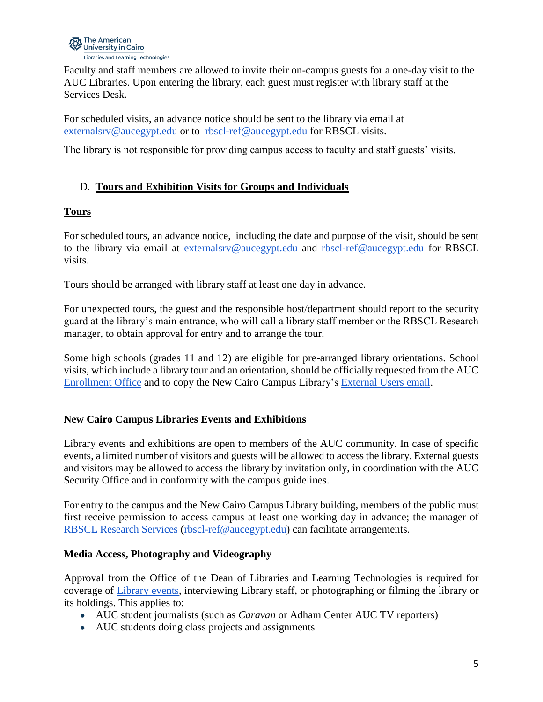

Faculty and staff members are allowed to invite their on-campus guests for a one-day visit to the AUC Libraries. Upon entering the library, each guest must register with library staff at the Services Desk.

For scheduled visits, an advance notice should be sent to the library via email at [externalsrv@aucegypt.edu](mailto:externalsrv@aucegypt.edu) or to [rbscl-ref@aucegypt.edu](mailto:rbscl-ref@aucegypt.edu) for RBSCL visits.

The library is not responsible for providing campus access to faculty and staff guests' visits.

## D. **Tours and Exhibition Visits for Groups and Individuals**

## **Tours**

For scheduled tours, an advance notice, including the date and purpose of the visit, should be sent to the library via email at [externalsrv@aucegypt.edu](mailto:externalsrv@aucegypt.edu) and [rbscl-ref@aucegypt.edu](mailto:rbscl-ref@aucegypt.edu) for RBSCL visits.

Tours should be arranged with library staff at least one day in advance.

For unexpected tours, the guest and the responsible host/department should report to the security guard at the library's main entrance, who will call a library staff member or the RBSCL Research manager, to obtain approval for entry and to arrange the tour.

Some high schools (grades 11 and 12) are eligible for pre-arranged library orientations. School visits, which include a library tour and an orientation, should be officially requested from the AUC [Enrollment Office](mailto:enrolauc@aucegypt.edu) and to copy the New Cairo Campus Library's [External Users email.](mailto:externalsrv@aucegypt.edu)

## **New Cairo Campus Libraries Events and Exhibitions**

Library events and exhibitions are open to members of the AUC community. In case of specific events, a limited number of visitors and guests will be allowed to access the library. External guests and visitors may be allowed to access the library by invitation only, in coordination with the AUC Security Office and in conformity with the campus guidelines.

For entry to the campus and the New Cairo Campus Library building, members of the public must first receive permission to access campus at least one working day in advance; the manager of [RBSCL Research Services](mailto:rbscl-ref@aucegypt.edu) [\(rbscl-ref@aucegypt.edu\)](mailto:rbscl-ref@aucegypt.edu) can facilitate arrangements.

## **Media Access, Photography and Videography**

Approval from the Office of the Dean of Libraries and Learning Technologies is required for coverage of [Library events,](https://documents.aucegypt.edu/Docs/Policies/LLT%20Exhibit%20Spaces%20Policy.pdf) interviewing Library staff, or photographing or filming the library or its holdings. This applies to:

- AUC student journalists (such as *Caravan* or Adham Center AUC TV reporters)
- AUC students doing class projects and assignments